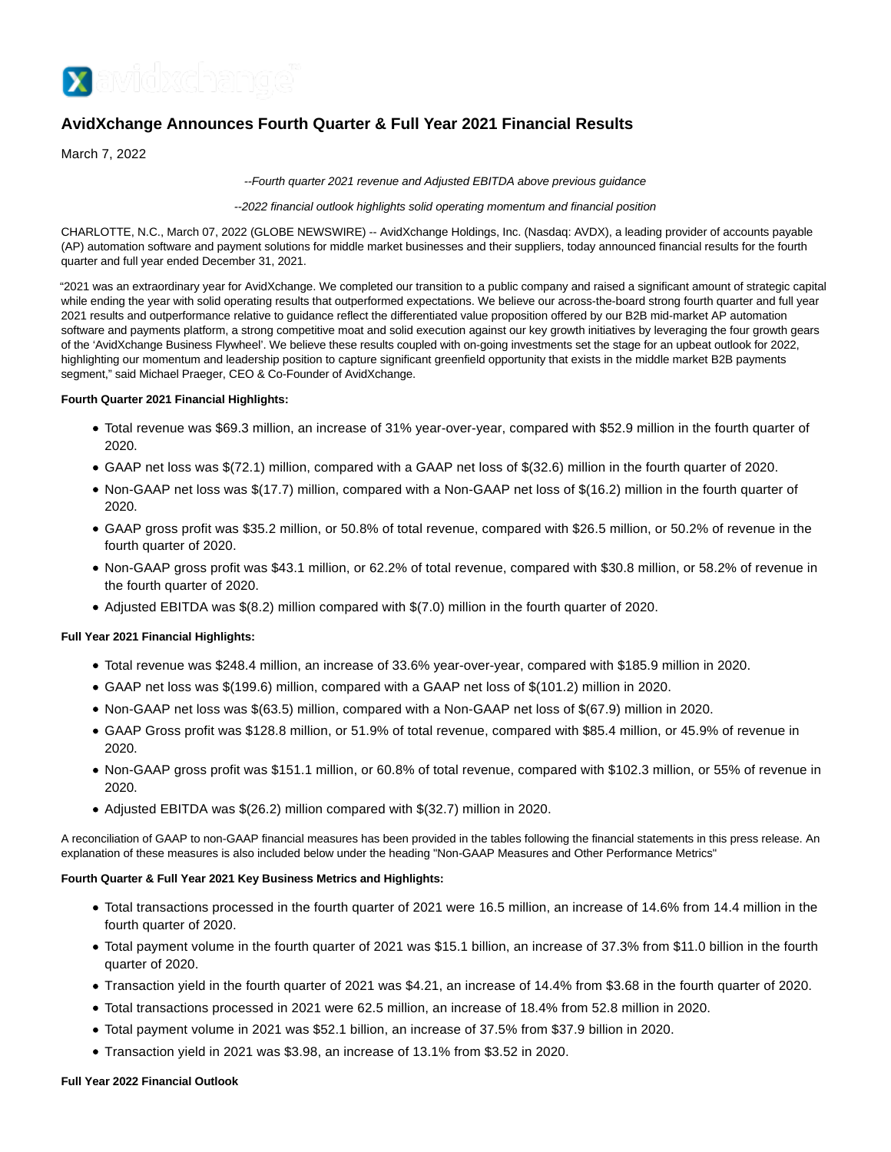

# **AvidXchange Announces Fourth Quarter & Full Year 2021 Financial Results**

March 7, 2022

--Fourth quarter 2021 revenue and Adjusted EBITDA above previous guidance

--2022 financial outlook highlights solid operating momentum and financial position

CHARLOTTE, N.C., March 07, 2022 (GLOBE NEWSWIRE) -- AvidXchange Holdings, Inc. (Nasdaq: AVDX), a leading provider of accounts payable (AP) automation software and payment solutions for middle market businesses and their suppliers, today announced financial results for the fourth quarter and full year ended December 31, 2021.

"2021 was an extraordinary year for AvidXchange. We completed our transition to a public company and raised a significant amount of strategic capital while ending the year with solid operating results that outperformed expectations. We believe our across-the-board strong fourth quarter and full year 2021 results and outperformance relative to guidance reflect the differentiated value proposition offered by our B2B mid-market AP automation software and payments platform, a strong competitive moat and solid execution against our key growth initiatives by leveraging the four growth gears of the 'AvidXchange Business Flywheel'. We believe these results coupled with on-going investments set the stage for an upbeat outlook for 2022, highlighting our momentum and leadership position to capture significant greenfield opportunity that exists in the middle market B2B payments segment," said Michael Praeger, CEO & Co-Founder of AvidXchange.

### **Fourth Quarter 2021 Financial Highlights:**

- Total revenue was \$69.3 million, an increase of 31% year-over-year, compared with \$52.9 million in the fourth quarter of 2020.
- GAAP net loss was \$(72.1) million, compared with a GAAP net loss of \$(32.6) million in the fourth quarter of 2020.
- Non-GAAP net loss was \$(17.7) million, compared with a Non-GAAP net loss of \$(16.2) million in the fourth quarter of 2020.
- GAAP gross profit was \$35.2 million, or 50.8% of total revenue, compared with \$26.5 million, or 50.2% of revenue in the fourth quarter of 2020.
- Non-GAAP gross profit was \$43.1 million, or 62.2% of total revenue, compared with \$30.8 million, or 58.2% of revenue in the fourth quarter of 2020.
- Adjusted EBITDA was \$(8.2) million compared with \$(7.0) million in the fourth quarter of 2020.

#### **Full Year 2021 Financial Highlights:**

- Total revenue was \$248.4 million, an increase of 33.6% year-over-year, compared with \$185.9 million in 2020.
- GAAP net loss was \$(199.6) million, compared with a GAAP net loss of \$(101.2) million in 2020.
- Non-GAAP net loss was \$(63.5) million, compared with a Non-GAAP net loss of \$(67.9) million in 2020.
- GAAP Gross profit was \$128.8 million, or 51.9% of total revenue, compared with \$85.4 million, or 45.9% of revenue in 2020.
- Non-GAAP gross profit was \$151.1 million, or 60.8% of total revenue, compared with \$102.3 million, or 55% of revenue in 2020.
- Adjusted EBITDA was \$(26.2) million compared with \$(32.7) million in 2020.

A reconciliation of GAAP to non-GAAP financial measures has been provided in the tables following the financial statements in this press release. An explanation of these measures is also included below under the heading "Non-GAAP Measures and Other Performance Metrics"

#### **Fourth Quarter & Full Year 2021 Key Business Metrics and Highlights:**

- Total transactions processed in the fourth quarter of 2021 were 16.5 million, an increase of 14.6% from 14.4 million in the fourth quarter of 2020.
- Total payment volume in the fourth quarter of 2021 was \$15.1 billion, an increase of 37.3% from \$11.0 billion in the fourth quarter of 2020.
- Transaction yield in the fourth quarter of 2021 was \$4.21, an increase of 14.4% from \$3.68 in the fourth quarter of 2020.
- Total transactions processed in 2021 were 62.5 million, an increase of 18.4% from 52.8 million in 2020.
- Total payment volume in 2021 was \$52.1 billion, an increase of 37.5% from \$37.9 billion in 2020.
- Transaction yield in 2021 was \$3.98, an increase of 13.1% from \$3.52 in 2020.

#### **Full Year 2022 Financial Outlook**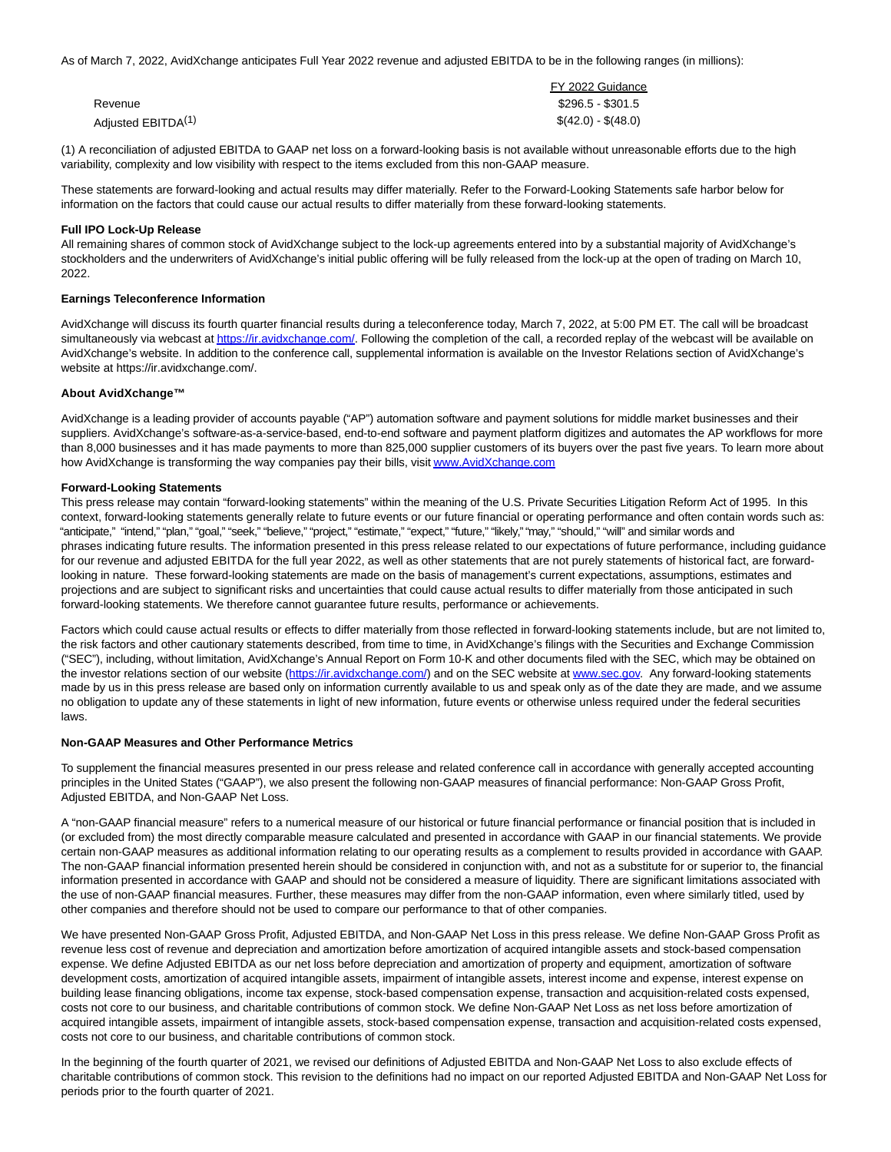As of March 7, 2022, AvidXchange anticipates Full Year 2022 revenue and adjusted EBITDA to be in the following ranges (in millions):

|                                | FY 2022 Guidance    |
|--------------------------------|---------------------|
| Revenue                        | \$296.5 - \$301.5   |
| Adjusted EBITDA <sup>(1)</sup> | $$(42.0) - $(48.0)$ |

(1) A reconciliation of adjusted EBITDA to GAAP net loss on a forward-looking basis is not available without unreasonable efforts due to the high variability, complexity and low visibility with respect to the items excluded from this non-GAAP measure.

These statements are forward-looking and actual results may differ materially. Refer to the Forward-Looking Statements safe harbor below for information on the factors that could cause our actual results to differ materially from these forward-looking statements.

#### **Full IPO Lock-Up Release**

All remaining shares of common stock of AvidXchange subject to the lock-up agreements entered into by a substantial majority of AvidXchange's stockholders and the underwriters of AvidXchange's initial public offering will be fully released from the lock-up at the open of trading on March 10, 2022.

#### **Earnings Teleconference Information**

AvidXchange will discuss its fourth quarter financial results during a teleconference today, March 7, 2022, at 5:00 PM ET. The call will be broadcast simultaneously via webcast a[t https://ir.avidxchange.com/.](https://www.globenewswire.com/Tracker?data=-fPO3qLLNPOiFPJOAE36_7yY6guFG-ub1CNHHm1ztoPf0E77ic4qGLeBPqNULkDF4TuzdZdKymxsxrhCZ-3cKQVEjpCdMdG1lOvegd3_hjA=) Following the completion of the call, a recorded replay of the webcast will be available on AvidXchange's website. In addition to the conference call, supplemental information is available on the Investor Relations section of AvidXchange's website at https://ir.avidxchange.com/.

## **About AvidXchange™**

AvidXchange is a leading provider of accounts payable ("AP") automation software and payment solutions for middle market businesses and their suppliers. AvidXchange's software-as-a-service-based, end-to-end software and payment platform digitizes and automates the AP workflows for more than 8,000 businesses and it has made payments to more than 825,000 supplier customers of its buyers over the past five years. To learn more about how AvidXchange is transforming the way companies pay their bills, visi[t www.AvidXchange.com](https://www.globenewswire.com/Tracker?data=5zDuJoqI7aCW-0FCq7AITTCAM7eBkQU9d_H7qBrxzOOOxDertdA8y2yKSiPVez1ILBIhR0GB2xPyBMDQTT1ccG8d-oX5k4eOxGMRjV3kuBeBlOcfL0yfT_uQt4kkVJuAjcPTsXTzpzjY1wTfohpCWDQWg88c4FhV8fmmZAToKpg=)

#### **Forward-Looking Statements**

This press release may contain "forward-looking statements" within the meaning of the U.S. Private Securities Litigation Reform Act of 1995. In this context, forward-looking statements generally relate to future events or our future financial or operating performance and often contain words such as: "anticipate," "intend," "plan," "goal," "seek," "believe," "project," "estimate," "expect," "future," "likely," "may," "should," "will" and similar words and phrases indicating future results. The information presented in this press release related to our expectations of future performance, including guidance for our revenue and adjusted EBITDA for the full year 2022, as well as other statements that are not purely statements of historical fact, are forwardlooking in nature. These forward-looking statements are made on the basis of management's current expectations, assumptions, estimates and projections and are subject to significant risks and uncertainties that could cause actual results to differ materially from those anticipated in such forward-looking statements. We therefore cannot guarantee future results, performance or achievements.

Factors which could cause actual results or effects to differ materially from those reflected in forward-looking statements include, but are not limited to, the risk factors and other cautionary statements described, from time to time, in AvidXchange's filings with the Securities and Exchange Commission ("SEC"), including, without limitation, AvidXchange's Annual Report on Form 10-K and other documents filed with the SEC, which may be obtained on the investor relations section of our website [\(https://ir.avidxchange.com/\)](https://www.globenewswire.com/Tracker?data=-fPO3qLLNPOiFPJOAE36_7yY6guFG-ub1CNHHm1ztoNvGDgqUunqOK7qvQVZHQwgtHDeZDjsvjI5nCOy87TKiXG_v6jfe4RmmyszAbavN8A=) and on the SEC website at [www.sec.gov.](https://www.globenewswire.com/Tracker?data=hM3c127FSVok1G_3nAzhnQu4RRSZfGR63YUaS4dpUpZksoG_gfN3rEMEmlW7As5Shx6-V1Jog6CcFgsLOwsQIQ==) Any forward-looking statements made by us in this press release are based only on information currently available to us and speak only as of the date they are made, and we assume no obligation to update any of these statements in light of new information, future events or otherwise unless required under the federal securities laws.

#### **Non-GAAP Measures and Other Performance Metrics**

To supplement the financial measures presented in our press release and related conference call in accordance with generally accepted accounting principles in the United States ("GAAP"), we also present the following non-GAAP measures of financial performance: Non-GAAP Gross Profit, Adjusted EBITDA, and Non-GAAP Net Loss.

A "non-GAAP financial measure" refers to a numerical measure of our historical or future financial performance or financial position that is included in (or excluded from) the most directly comparable measure calculated and presented in accordance with GAAP in our financial statements. We provide certain non-GAAP measures as additional information relating to our operating results as a complement to results provided in accordance with GAAP. The non-GAAP financial information presented herein should be considered in conjunction with, and not as a substitute for or superior to, the financial information presented in accordance with GAAP and should not be considered a measure of liquidity. There are significant limitations associated with the use of non-GAAP financial measures. Further, these measures may differ from the non-GAAP information, even where similarly titled, used by other companies and therefore should not be used to compare our performance to that of other companies.

We have presented Non-GAAP Gross Profit, Adjusted EBITDA, and Non-GAAP Net Loss in this press release. We define Non-GAAP Gross Profit as revenue less cost of revenue and depreciation and amortization before amortization of acquired intangible assets and stock-based compensation expense. We define Adjusted EBITDA as our net loss before depreciation and amortization of property and equipment, amortization of software development costs, amortization of acquired intangible assets, impairment of intangible assets, interest income and expense, interest expense on building lease financing obligations, income tax expense, stock-based compensation expense, transaction and acquisition-related costs expensed, costs not core to our business, and charitable contributions of common stock. We define Non-GAAP Net Loss as net loss before amortization of acquired intangible assets, impairment of intangible assets, stock-based compensation expense, transaction and acquisition-related costs expensed, costs not core to our business, and charitable contributions of common stock.

In the beginning of the fourth quarter of 2021, we revised our definitions of Adjusted EBITDA and Non-GAAP Net Loss to also exclude effects of charitable contributions of common stock. This revision to the definitions had no impact on our reported Adjusted EBITDA and Non-GAAP Net Loss for periods prior to the fourth quarter of 2021.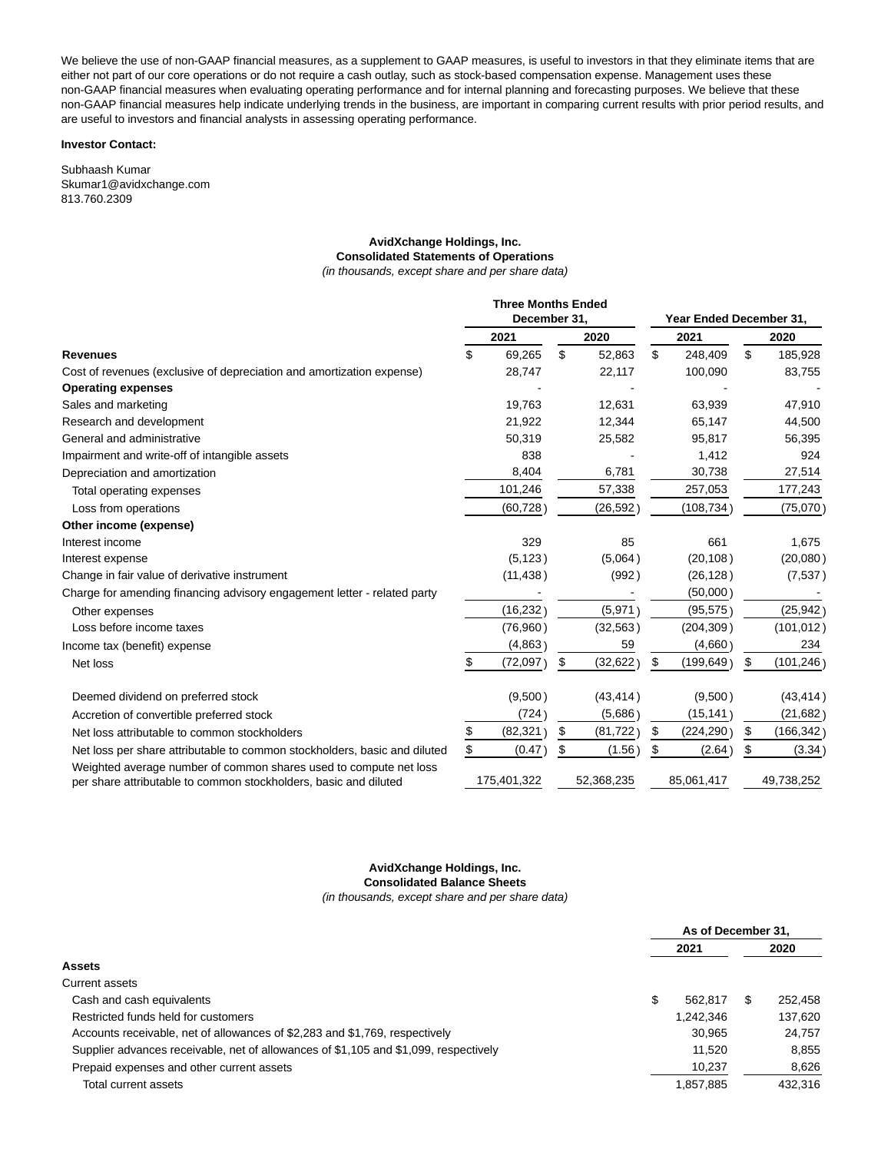We believe the use of non-GAAP financial measures, as a supplement to GAAP measures, is useful to investors in that they eliminate items that are either not part of our core operations or do not require a cash outlay, such as stock-based compensation expense. Management uses these non-GAAP financial measures when evaluating operating performance and for internal planning and forecasting purposes. We believe that these non-GAAP financial measures help indicate underlying trends in the business, are important in comparing current results with prior period results, and are useful to investors and financial analysts in assessing operating performance.

## **Investor Contact:**

Subhaash Kumar Skumar1@avidxchange.com 813.760.2309

#### **AvidXchange Holdings, Inc. Consolidated Statements of Operations** (in thousands, except share and per share data)

|                                                                                                                                       | <b>Three Months Ended</b><br>December 31, |             | Year Ended December 31, |    |            |    |            |  |
|---------------------------------------------------------------------------------------------------------------------------------------|-------------------------------------------|-------------|-------------------------|----|------------|----|------------|--|
|                                                                                                                                       |                                           | 2021        | 2020                    |    | 2021       |    | 2020       |  |
| Revenues                                                                                                                              | \$                                        | 69,265      | \$<br>52,863            | \$ | 248,409    | \$ | 185,928    |  |
| Cost of revenues (exclusive of depreciation and amortization expense)                                                                 |                                           | 28,747      | 22,117                  |    | 100,090    |    | 83,755     |  |
| <b>Operating expenses</b>                                                                                                             |                                           |             |                         |    |            |    |            |  |
| Sales and marketing                                                                                                                   |                                           | 19,763      | 12,631                  |    | 63,939     |    | 47,910     |  |
| Research and development                                                                                                              |                                           | 21,922      | 12,344                  |    | 65,147     |    | 44,500     |  |
| General and administrative                                                                                                            |                                           | 50,319      | 25,582                  |    | 95,817     |    | 56,395     |  |
| Impairment and write-off of intangible assets                                                                                         |                                           | 838         |                         |    | 1,412      |    | 924        |  |
| Depreciation and amortization                                                                                                         |                                           | 8,404       | 6,781                   |    | 30,738     |    | 27,514     |  |
| Total operating expenses                                                                                                              |                                           | 101,246     | 57,338                  |    | 257,053    |    | 177,243    |  |
| Loss from operations                                                                                                                  |                                           | (60, 728)   | (26, 592)               |    | (108, 734) |    | (75,070)   |  |
| Other income (expense)                                                                                                                |                                           |             |                         |    |            |    |            |  |
| Interest income                                                                                                                       |                                           | 329         | 85                      |    | 661        |    | 1,675      |  |
| Interest expense                                                                                                                      |                                           | (5, 123)    | (5,064)                 |    | (20, 108)  |    | (20,080)   |  |
| Change in fair value of derivative instrument                                                                                         |                                           | (11, 438)   | (992)                   |    | (26, 128)  |    | (7,537)    |  |
| Charge for amending financing advisory engagement letter - related party                                                              |                                           |             |                         |    | (50,000)   |    |            |  |
| Other expenses                                                                                                                        |                                           | (16, 232)   | (5,971)                 |    | (95, 575)  |    | (25, 942)  |  |
| Loss before income taxes                                                                                                              |                                           | (76,960)    | (32, 563)               |    | (204, 309) |    | (101, 012) |  |
| Income tax (benefit) expense                                                                                                          |                                           | (4,863)     | 59                      |    | (4,660)    |    | 234        |  |
| Net loss                                                                                                                              | \$                                        | (72,097)    | \$<br>(32, 622)         | \$ | (199, 649) | \$ | (101,246)  |  |
| Deemed dividend on preferred stock                                                                                                    |                                           | (9,500)     | (43, 414)               |    | (9,500)    |    | (43, 414)  |  |
| Accretion of convertible preferred stock                                                                                              |                                           | (724)       | (5,686)                 |    | (15, 141)  |    | (21, 682)  |  |
| Net loss attributable to common stockholders                                                                                          | \$                                        | (82, 321)   | \$<br>(81, 722)         | \$ | (224, 290) | \$ | (166,342)  |  |
| Net loss per share attributable to common stockholders, basic and diluted                                                             | \$                                        | (0.47)      | \$<br>(1.56)            | \$ | (2.64)     | \$ | (3.34)     |  |
| Weighted average number of common shares used to compute net loss<br>per share attributable to common stockholders, basic and diluted |                                           | 175,401,322 | 52,368,235              |    | 85,061,417 |    | 49,738,252 |  |

#### **AvidXchange Holdings, Inc. Consolidated Balance Sheets** (in thousands, except share and per share data)

|                                                                                      | As of December 31. |           |   |         |  |  |
|--------------------------------------------------------------------------------------|--------------------|-----------|---|---------|--|--|
|                                                                                      |                    | 2021      |   | 2020    |  |  |
| Assets                                                                               |                    |           |   |         |  |  |
| Current assets                                                                       |                    |           |   |         |  |  |
| Cash and cash equivalents                                                            | \$                 | 562.817   | S | 252.458 |  |  |
| Restricted funds held for customers                                                  |                    | 1.242.346 |   | 137.620 |  |  |
| Accounts receivable, net of allowances of \$2,283 and \$1,769, respectively          |                    | 30.965    |   | 24.757  |  |  |
| Supplier advances receivable, net of allowances of \$1,105 and \$1,099, respectively |                    | 11.520    |   | 8,855   |  |  |
| Prepaid expenses and other current assets                                            |                    | 10,237    |   | 8,626   |  |  |
| Total current assets                                                                 |                    | 1,857,885 |   | 432.316 |  |  |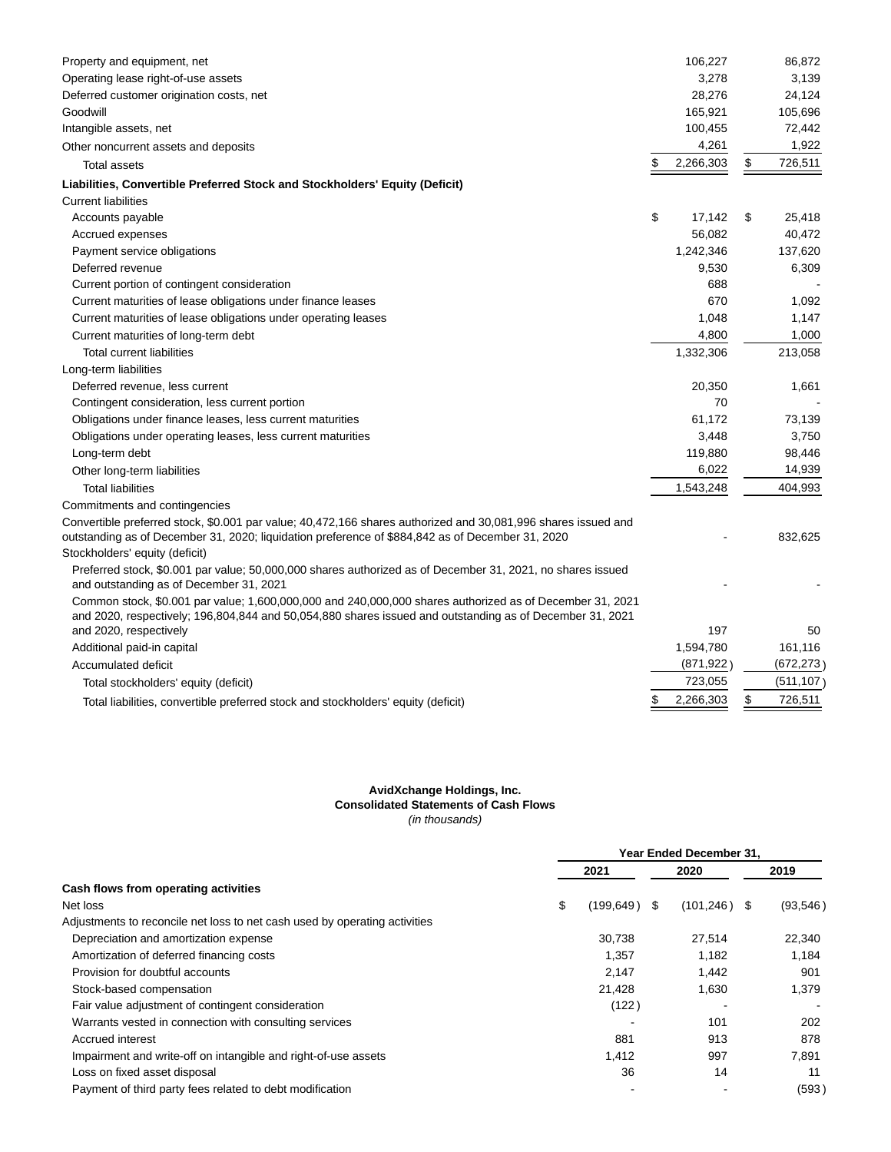| Property and equipment, net                                                                                                                                                                                          | 106,227         | 86,872        |
|----------------------------------------------------------------------------------------------------------------------------------------------------------------------------------------------------------------------|-----------------|---------------|
| Operating lease right-of-use assets                                                                                                                                                                                  | 3,278           | 3,139         |
| Deferred customer origination costs, net                                                                                                                                                                             | 28,276          | 24,124        |
| Goodwill                                                                                                                                                                                                             | 165,921         | 105,696       |
| Intangible assets, net                                                                                                                                                                                               | 100,455         | 72,442        |
| Other noncurrent assets and deposits                                                                                                                                                                                 | 4,261           | 1,922         |
| <b>Total assets</b>                                                                                                                                                                                                  | \$<br>2,266,303 | \$<br>726,511 |
| Liabilities, Convertible Preferred Stock and Stockholders' Equity (Deficit)                                                                                                                                          |                 |               |
| <b>Current liabilities</b>                                                                                                                                                                                           |                 |               |
| Accounts payable                                                                                                                                                                                                     | \$<br>17,142    | \$<br>25,418  |
| Accrued expenses                                                                                                                                                                                                     | 56,082          | 40,472        |
| Payment service obligations                                                                                                                                                                                          | 1,242,346       | 137,620       |
| Deferred revenue                                                                                                                                                                                                     | 9,530           | 6,309         |
| Current portion of contingent consideration                                                                                                                                                                          | 688             |               |
| Current maturities of lease obligations under finance leases                                                                                                                                                         | 670             | 1,092         |
| Current maturities of lease obligations under operating leases                                                                                                                                                       | 1,048           | 1,147         |
| Current maturities of long-term debt                                                                                                                                                                                 | 4,800           | 1,000         |
| <b>Total current liabilities</b>                                                                                                                                                                                     | 1,332,306       | 213,058       |
| Long-term liabilities                                                                                                                                                                                                |                 |               |
| Deferred revenue, less current                                                                                                                                                                                       | 20,350          | 1,661         |
| Contingent consideration, less current portion                                                                                                                                                                       | 70              |               |
| Obligations under finance leases, less current maturities                                                                                                                                                            | 61,172          | 73,139        |
| Obligations under operating leases, less current maturities                                                                                                                                                          | 3,448           | 3,750         |
| Long-term debt                                                                                                                                                                                                       | 119,880         | 98,446        |
| Other long-term liabilities                                                                                                                                                                                          | 6,022           | 14,939        |
| <b>Total liabilities</b>                                                                                                                                                                                             | 1,543,248       | 404,993       |
| Commitments and contingencies                                                                                                                                                                                        |                 |               |
| Convertible preferred stock, \$0.001 par value; 40,472,166 shares authorized and 30,081,996 shares issued and<br>outstanding as of December 31, 2020; liquidation preference of \$884,842 as of December 31, 2020    |                 | 832,625       |
| Stockholders' equity (deficit)                                                                                                                                                                                       |                 |               |
| Preferred stock, \$0.001 par value; 50,000,000 shares authorized as of December 31, 2021, no shares issued<br>and outstanding as of December 31, 2021                                                                |                 |               |
| Common stock, \$0.001 par value; 1,600,000,000 and 240,000,000 shares authorized as of December 31, 2021<br>and 2020, respectively; 196,804,844 and 50,054,880 shares issued and outstanding as of December 31, 2021 |                 |               |
| and 2020, respectively                                                                                                                                                                                               | 197             | 50            |
| Additional paid-in capital                                                                                                                                                                                           | 1,594,780       | 161,116       |
| Accumulated deficit                                                                                                                                                                                                  | (871, 922)      | (672, 273)    |
| Total stockholders' equity (deficit)                                                                                                                                                                                 | 723,055         | (511,107)     |
| Total liabilities, convertible preferred stock and stockholders' equity (deficit)                                                                                                                                    | \$<br>2,266,303 | \$<br>726,511 |

# **AvidXchange Holdings, Inc. Consolidated Statements of Cash Flows** (in thousands)

|                                                                            | <b>Year Ended December 31.</b> |            |    |            |      |           |
|----------------------------------------------------------------------------|--------------------------------|------------|----|------------|------|-----------|
|                                                                            |                                | 2021       |    | 2020       |      | 2019      |
| Cash flows from operating activities                                       |                                |            |    |            |      |           |
| Net loss                                                                   | \$                             | (199, 649) | -S | (101, 246) | - \$ | (93, 546) |
| Adjustments to reconcile net loss to net cash used by operating activities |                                |            |    |            |      |           |
| Depreciation and amortization expense                                      |                                | 30.738     |    | 27,514     |      | 22,340    |
| Amortization of deferred financing costs                                   |                                | 1.357      |    | 1,182      |      | 1,184     |
| Provision for doubtful accounts                                            |                                | 2.147      |    | 1,442      |      | 901       |
| Stock-based compensation                                                   |                                | 21,428     |    | 1,630      |      | 1,379     |
| Fair value adjustment of contingent consideration                          |                                | (122)      |    |            |      |           |
| Warrants vested in connection with consulting services                     |                                |            |    | 101        |      | 202       |
| Accrued interest                                                           |                                | 881        |    | 913        |      | 878       |
| Impairment and write-off on intangible and right-of-use assets             |                                | 1,412      |    | 997        |      | 7,891     |
| Loss on fixed asset disposal                                               |                                | 36         |    | 14         |      | 11        |
| Payment of third party fees related to debt modification                   |                                |            |    |            |      | (593)     |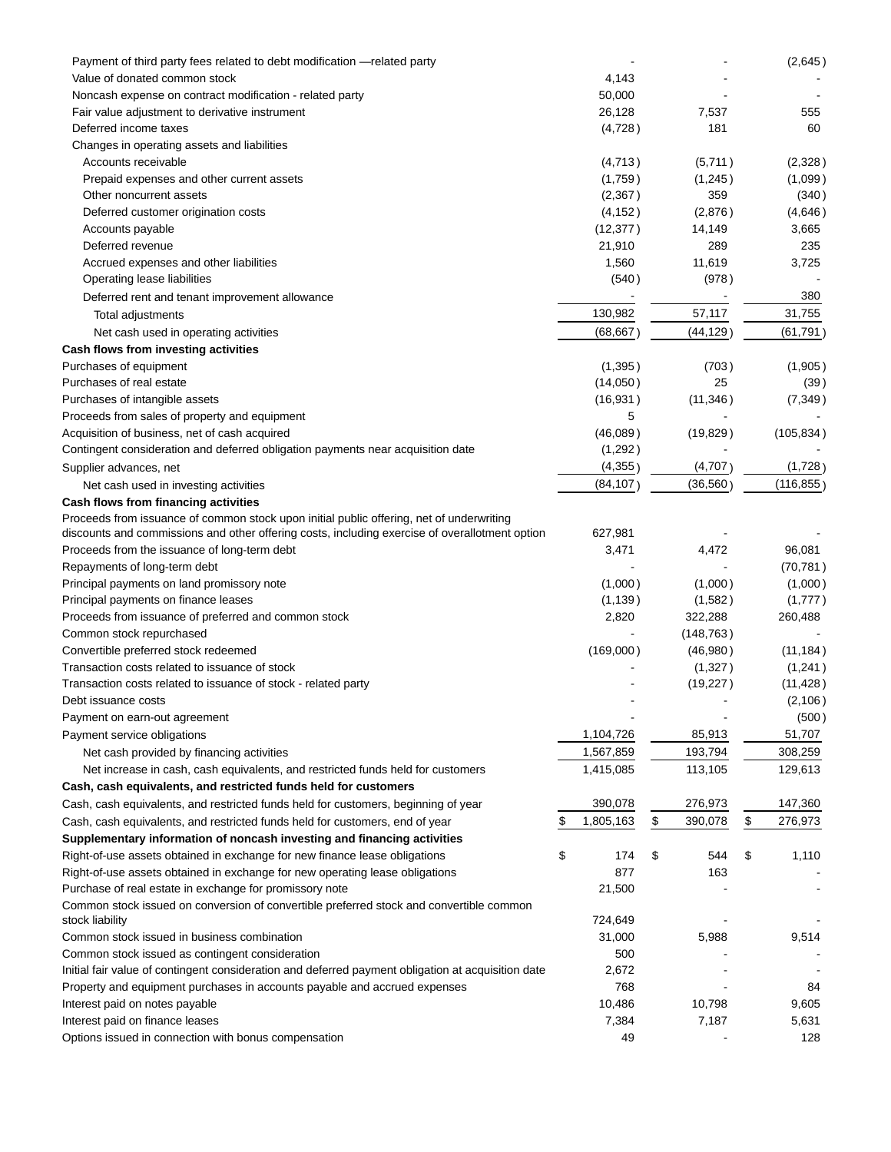| Payment of third party fees related to debt modification - related party                                   |                 |               | (2,645)       |
|------------------------------------------------------------------------------------------------------------|-----------------|---------------|---------------|
| Value of donated common stock                                                                              | 4,143           |               |               |
| Noncash expense on contract modification - related party                                                   | 50,000          |               |               |
| Fair value adjustment to derivative instrument                                                             | 26,128          | 7,537         | 555           |
| Deferred income taxes                                                                                      | (4,728)         | 181           | 60            |
| Changes in operating assets and liabilities                                                                |                 |               |               |
| Accounts receivable                                                                                        | (4,713)         | (5,711)       | (2,328)       |
| Prepaid expenses and other current assets                                                                  | (1,759)         | (1,245)       | (1,099)       |
| Other noncurrent assets                                                                                    | (2,367)         | 359           | (340)         |
| Deferred customer origination costs                                                                        | (4, 152)        | (2,876)       | (4,646)       |
| Accounts payable                                                                                           | (12, 377)       | 14,149        | 3,665         |
| Deferred revenue                                                                                           | 21,910          | 289           | 235           |
| Accrued expenses and other liabilities                                                                     | 1,560           | 11,619        | 3,725         |
| Operating lease liabilities                                                                                | (540)           | (978)         |               |
|                                                                                                            |                 |               | 380           |
| Deferred rent and tenant improvement allowance                                                             |                 |               |               |
| Total adjustments                                                                                          | 130,982         | 57,117        | 31,755        |
| Net cash used in operating activities                                                                      | (68, 667)       | (44, 129)     | (61, 791)     |
| Cash flows from investing activities                                                                       |                 |               |               |
| Purchases of equipment                                                                                     | (1,395)         | (703)         | (1,905)       |
| Purchases of real estate                                                                                   | (14,050)        | 25            | (39)          |
| Purchases of intangible assets                                                                             | (16, 931)       | (11, 346)     | (7, 349)      |
| Proceeds from sales of property and equipment                                                              | 5               |               |               |
| Acquisition of business, net of cash acquired                                                              | (46,089)        | (19, 829)     | (105, 834)    |
| Contingent consideration and deferred obligation payments near acquisition date                            | (1,292)         |               |               |
| Supplier advances, net                                                                                     | (4, 355)        | (4,707)       | (1,728)       |
| Net cash used in investing activities                                                                      | (84, 107)       | (36, 560)     | (116, 855)    |
| Cash flows from financing activities                                                                       |                 |               |               |
| Proceeds from issuance of common stock upon initial public offering, net of underwriting                   |                 |               |               |
| discounts and commissions and other offering costs, including exercise of overallotment option             | 627,981         |               |               |
| Proceeds from the issuance of long-term debt                                                               | 3,471           | 4,472         | 96,081        |
| Repayments of long-term debt                                                                               |                 |               | (70, 781)     |
| Principal payments on land promissory note                                                                 | (1,000)         | (1,000)       | (1,000)       |
| Principal payments on finance leases                                                                       | (1, 139)        | (1,582)       | (1,777)       |
| Proceeds from issuance of preferred and common stock                                                       | 2,820           | 322,288       | 260,488       |
| Common stock repurchased                                                                                   |                 | (148, 763)    |               |
| Convertible preferred stock redeemed                                                                       | (169,000)       | (46,980)      | (11, 184)     |
| Transaction costs related to issuance of stock                                                             |                 | (1,327)       | (1,241)       |
| Transaction costs related to issuance of stock - related party                                             |                 | (19, 227)     | (11, 428)     |
| Debt issuance costs                                                                                        |                 |               | (2, 106)      |
| Payment on earn-out agreement                                                                              |                 |               | (500)         |
| Payment service obligations                                                                                | 1,104,726       | 85,913        | 51,707        |
| Net cash provided by financing activities                                                                  | 1,567,859       | 193,794       | 308,259       |
| Net increase in cash, cash equivalents, and restricted funds held for customers                            | 1,415,085       | 113,105       | 129,613       |
| Cash, cash equivalents, and restricted funds held for customers                                            |                 |               |               |
|                                                                                                            |                 |               |               |
| Cash, cash equivalents, and restricted funds held for customers, beginning of year                         | 390,078         | 276,973       | 147,360       |
| Cash, cash equivalents, and restricted funds held for customers, end of year                               | \$<br>1,805,163 | \$<br>390,078 | \$<br>276,973 |
| Supplementary information of noncash investing and financing activities                                    |                 |               |               |
| Right-of-use assets obtained in exchange for new finance lease obligations                                 | \$<br>174       | \$<br>544     | \$<br>1,110   |
| Right-of-use assets obtained in exchange for new operating lease obligations                               | 877             | 163           |               |
| Purchase of real estate in exchange for promissory note                                                    | 21,500          |               |               |
| Common stock issued on conversion of convertible preferred stock and convertible common<br>stock liability | 724,649         |               |               |
| Common stock issued in business combination                                                                | 31,000          | 5,988         | 9,514         |
| Common stock issued as contingent consideration                                                            | 500             |               |               |
| Initial fair value of contingent consideration and deferred payment obligation at acquisition date         | 2,672           |               |               |
| Property and equipment purchases in accounts payable and accrued expenses                                  | 768             |               | 84            |
| Interest paid on notes payable                                                                             | 10,486          | 10,798        | 9,605         |
| Interest paid on finance leases                                                                            | 7,384           | 7,187         | 5,631         |
| Options issued in connection with bonus compensation                                                       | 49              |               | 128           |
|                                                                                                            |                 |               |               |